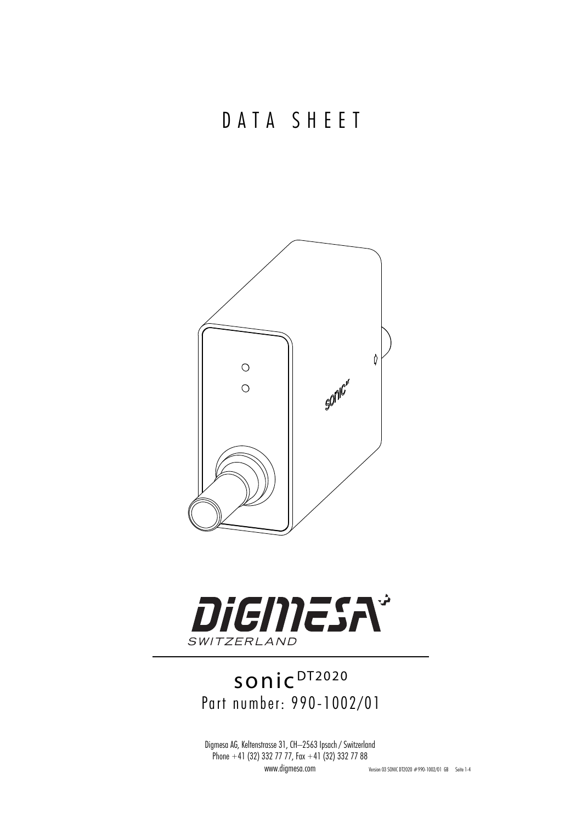



## sonic<sup>DT2020</sup> Part number: 990-1002/01

Digmesa AG, Keltenstrasse 31, CH–2563 Ipsach / Switzerland Phone  $+41$  (32) 332 77 77, Fax  $+41$  (32) 332 77 88 www.digmesa.com Version 03 SONIC DT2020 #990-1002/01 GB Seite 1-4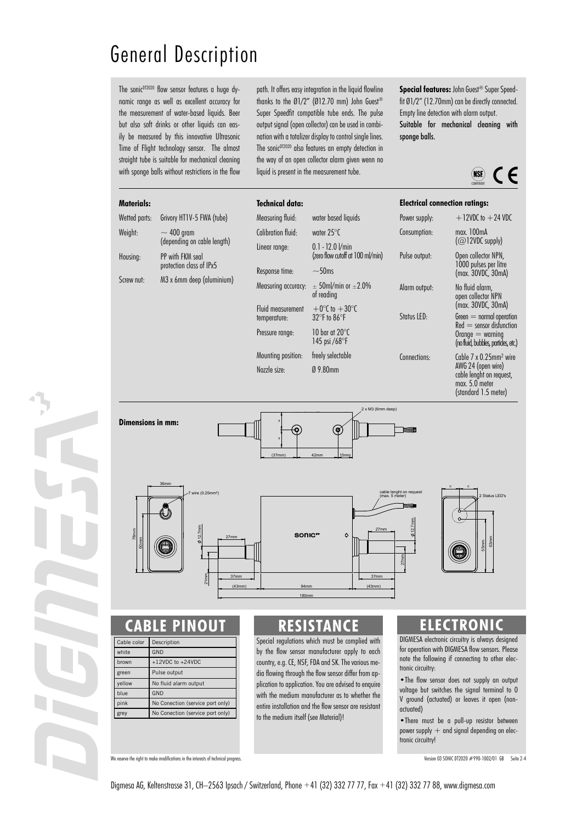## General Description

The sonic<sup>DT2020</sup> flow sensor features a huge dynamic range as well as excellent accuracy for the measurement of water-based liquids. Beer but also soft drinks or other liquids can easily be measured by this innovative Ultrasonic Time of Flight technology sensor. The almost straight tube is suitable for mechanical cleaning with sponge balls without restrictions in the flow path. It offers easy integration in the liquid flowline thanks to the Ø1/2" (Ø12.70 mm) John Guest® Super Speedfit compatible tube ends. The pulse output signal (open collector) can be used in combination with a totalizer display to control single lines. The sonic<sup>DT2020</sup> also features an empty detection in the way of an open collector alarm given wenn no liquid is present in the measurement tube.

**Special features:** John Guest® Super Speedfit Ø1/2" (12.70mm) can be directly connected. Empty line detection with alarm output. Suitable for mechanical cleaning with sponge balls.



#### **Materials:**

| Wetted parts: | Grivory HT1V-5 FWA (tube)                      |
|---------------|------------------------------------------------|
| Weight:       | $\sim$ 400 gram<br>(depending on cable length) |
| Housing:      | PP with FKM seal<br>protection class of IPx5   |
| Screw nut:    | M3 x 6mm deep (aluminium)                      |

|              | <b>Technical data:</b>            |                                                                     | <b>Electrical connection ratings:</b>                            |                                                                                                                                                |
|--------------|-----------------------------------|---------------------------------------------------------------------|------------------------------------------------------------------|------------------------------------------------------------------------------------------------------------------------------------------------|
|              | Measuring fluid:                  | water based liquids                                                 | Power supply:                                                    | $+12$ VDC to $+24$ VDC                                                                                                                         |
|              | Calibration fluid:                | water $25^{\circ}$ C                                                | Consumption:                                                     | max. 100mA<br>(Q12VDC supply)                                                                                                                  |
|              | Linear range:                     | $0.1 - 12.0$ $Vmin$<br>(zero flow cutoff at 100 ml/min)             | Pulse output:                                                    | Open collector NPN,<br>1000 pulses per litre                                                                                                   |
|              | Response time:                    | $~50$ ms                                                            |                                                                  | (max. 30VDC, 30mA)                                                                                                                             |
|              | Measuring accuracy:               | $\pm$ 50ml/min or $\pm$ 2.0%<br>of reading                          | Alarm output:                                                    | No fluid alarm,<br>open collector NPN                                                                                                          |
|              | Fluid measurement<br>temperature: | $+0^{\circ}$ to $+30^{\circ}$ C<br>$32^{\circ}$ F to $86^{\circ}$ F | Status LED:                                                      | (max. 30VDC, 30mA)<br>$Green = normal operation$<br>$Red =$ sensor disfunction<br>$O$ range $=$ warning<br>(no fluid, bubbles, partides, etc.) |
|              | Pressure range:                   | 10 har at 20°C<br>145 psi $/68$ <sup>o</sup> F                      |                                                                  |                                                                                                                                                |
|              | Mounting position:                | freely selectable                                                   | Connections:                                                     | Cable $7 \times 0.25$ mm <sup>2</sup> wire                                                                                                     |
| Nozzle size: | $0.980$ mm                        |                                                                     | AWG 24 (open wire)<br>cable lenght on request,<br>max. 5.0 meter |                                                                                                                                                |



#### **RLE PINOU**

| Cable color | Description                      |  |
|-------------|----------------------------------|--|
| white       | GND                              |  |
| brown       | $+12VDC$ to $+24VDC$             |  |
| green       | Pulse output                     |  |
| yellow      | No fluid alarm output            |  |
| blue        | GND                              |  |
| pink        | No Conection (service port only) |  |
| grey        | No Conection (service port only) |  |

### **RESISTANCE**

180mm

Special regulations which must be complied with by the flow sensor manufacturer apply to each country, e.g. CE, NSF, FDA and SK. The various media flowing through the flow sensor differ from application to application. You are advised to enquire with the medium manufacturer as to whether the entire installation and the flow sensor are resistant to the medium itself (see Material)!

#### **ELECTRONIC**

2 Status LED's

 55mm 63mm

DIGMESA electronic circuitry is always designed for operation with DIGMESA flow sensors. Please note the following if connecting to other electronic circuitry:

•The flow sensor does not supply an output voltage but switches the signal terminal to 0 V ground (actuated) or leaves it open (nonactuated)

•There must be a pull-up resistor between power supply  $+$  and signal depending on electronic circuitry!

We reserve the right to make modifications in the interests of technical progress. Version 03 SONIC DT2020 #990-1002/01 GB Seite 2-4

(standard 1.5 meter)

Digmesa AG, Keltenstrasse 31, CH–2563 Ipsach / Switzerland, Phone +41 (32) 332 77 77, Fax +41 (32) 332 77 88, www.digmesa.com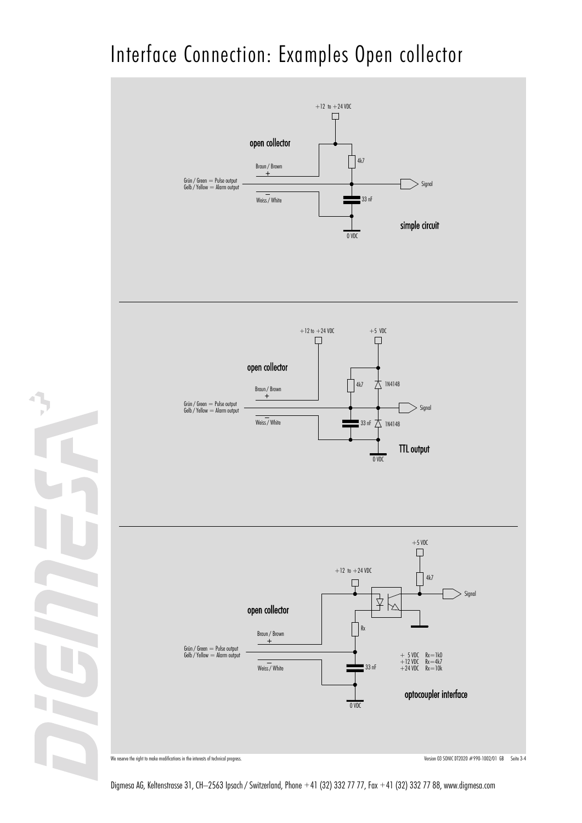# Interface Connection: Examples Open collector



Digmesa AG, Keltenstrasse 31, CH–2563 Ipsach / Switzerland, Phone +41 (32) 332 77 77, Fax +41 (32) 332 77 88, www.digmesa.com